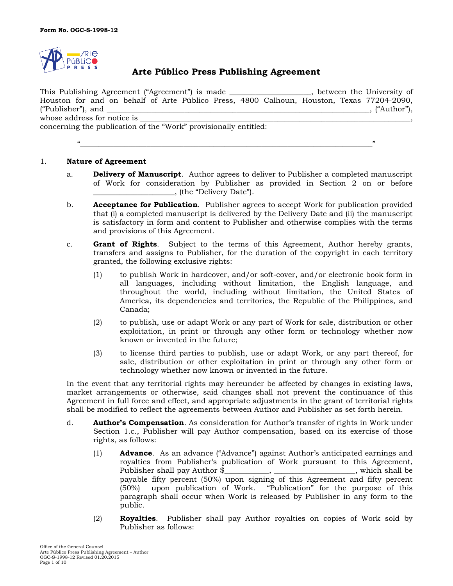

# **Arte Público Press Publishing Agreement**

This Publishing Agreement ("Agreement") is made \_\_\_\_\_\_\_\_\_\_\_\_\_\_\_\_\_\_\_\_\_\_, between the University of Houston for and on behalf of Arte Público Press, 4800 Calhoun, Houston, Texas 77204-2090, ("Publisher"), and  $\mathcal{L}$  and  $\mathcal{L}$  and  $\mathcal{L}$  and  $\mathcal{L}$  and  $\mathcal{L}$  and  $\mathcal{L}$  and  $\mathcal{L}$  and  $\mathcal{L}$  and  $\mathcal{L}$  and  $\mathcal{L}$  and  $\mathcal{L}$  and  $\mathcal{L}$  and  $\mathcal{L}$  and  $\mathcal{L}$  and  $\mathcal{L}$  and  $\mathcal{L}$ whose address for notice is concerning the publication of the "Work" provisionally entitled:

"\_\_\_\_\_\_\_\_\_\_\_\_\_\_\_\_\_\_\_\_\_\_\_\_\_\_\_\_\_\_\_\_\_\_\_\_\_\_\_\_\_\_\_\_\_\_\_\_\_\_\_\_\_\_\_\_\_\_\_\_\_\_\_\_\_\_\_\_\_\_\_\_\_\_\_\_\_\_\_"

#### 1. **Nature of Agreement**

- a. **Delivery of Manuscript**. Author agrees to deliver to Publisher a completed manuscript of Work for consideration by Publisher as provided in Section 2 on or before \_\_\_\_\_\_\_\_\_\_\_\_\_\_\_\_\_\_\_\_\_\_, (the "Delivery Date").
- b. **Acceptance for Publication**. Publisher agrees to accept Work for publication provided that (i) a completed manuscript is delivered by the Delivery Date and (ii) the manuscript is satisfactory in form and content to Publisher and otherwise complies with the terms and provisions of this Agreement.
- c. **Grant of Rights**. Subject to the terms of this Agreement, Author hereby grants, transfers and assigns to Publisher, for the duration of the copyright in each territory granted, the following exclusive rights:
	- (1) to publish Work in hardcover, and/or soft-cover, and/or electronic book form in all languages, including without limitation, the English language, and throughout the world, including without limitation, the United States of America, its dependencies and territories, the Republic of the Philippines, and Canada;
	- (2) to publish, use or adapt Work or any part of Work for sale, distribution or other exploitation, in print or through any other form or technology whether now known or invented in the future;
	- (3) to license third parties to publish, use or adapt Work, or any part thereof, for sale, distribution or other exploitation in print or through any other form or technology whether now known or invented in the future.

In the event that any territorial rights may hereunder be affected by changes in existing laws, market arrangements or otherwise, said changes shall not prevent the continuance of this Agreement in full force and effect, and appropriate adjustments in the grant of territorial rights shall be modified to reflect the agreements between Author and Publisher as set forth herein.

- d. **Author's Compensation**. As consideration for Author's transfer of rights in Work under Section 1.c., Publisher will pay Author compensation, based on its exercise of those rights, as follows:
	- (1) **Advance**. As an advance ("Advance") against Author's anticipated earnings and royalties from Publisher's publication of Work pursuant to this Agreement, Publisher shall pay Author \$\_\_\_\_\_\_\_\_\_\_, \_\_\_\_\_\_\_\_\_\_\_\_\_\_\_\_\_\_\_\_, which shall be payable fifty percent (50%) upon signing of this Agreement and fifty percent (50%) upon publication of Work. "Publication" for the purpose of this paragraph shall occur when Work is released by Publisher in any form to the public.
	- (2) **Royalties**. Publisher shall pay Author royalties on copies of Work sold by Publisher as follows: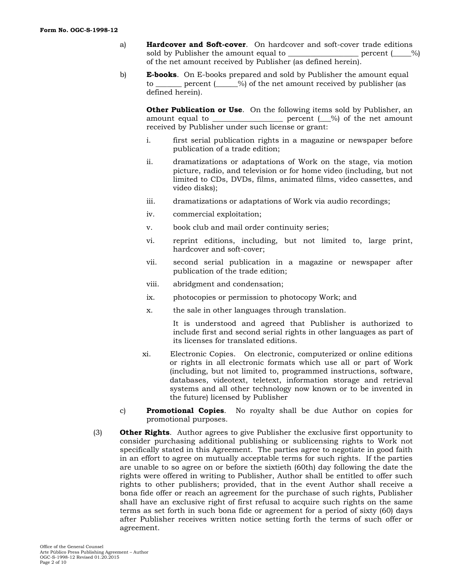- a) **Hardcover and Soft-cover**. On hardcover and soft-cover trade editions sold by Publisher the amount equal to \_\_\_\_\_\_\_\_\_\_\_\_\_\_\_\_\_\_\_ percent (\_\_\_\_\_%) of the net amount received by Publisher (as defined herein).
- b) **E-books**. On E-books prepared and sold by Publisher the amount equal to **percent** ( $\%$ ) of the net amount received by publisher (as defined herein).

**Other Publication or Use**. On the following items sold by Publisher, an amount equal to  $\frac{1}{\sqrt{2\pi}}$  percent  $\frac{1}{\sqrt{2}}$  of the net amount received by Publisher under such license or grant:

- i. first serial publication rights in a magazine or newspaper before publication of a trade edition;
- ii. dramatizations or adaptations of Work on the stage, via motion picture, radio, and television or for home video (including, but not limited to CDs, DVDs, films, animated films, video cassettes, and video disks);
- iii. dramatizations or adaptations of Work via audio recordings;
- iv. commercial exploitation;
- v. book club and mail order continuity series;
- vi. reprint editions, including, but not limited to, large print, hardcover and soft-cover;
- vii. second serial publication in a magazine or newspaper after publication of the trade edition;
- viii. abridgment and condensation;
- ix. photocopies or permission to photocopy Work; and
- x. the sale in other languages through translation.

It is understood and agreed that Publisher is authorized to include first and second serial rights in other languages as part of its licenses for translated editions.

- xi. Electronic Copies. On electronic, computerized or online editions or rights in all electronic formats which use all or part of Work (including, but not limited to, programmed instructions, software, databases, videotext, teletext, information storage and retrieval systems and all other technology now known or to be invented in the future) licensed by Publisher
- c) **Promotional Copies**. No royalty shall be due Author on copies for promotional purposes.
- (3) **Other Rights**. Author agrees to give Publisher the exclusive first opportunity to consider purchasing additional publishing or sublicensing rights to Work not specifically stated in this Agreement. The parties agree to negotiate in good faith in an effort to agree on mutually acceptable terms for such rights. If the parties are unable to so agree on or before the sixtieth (60th) day following the date the rights were offered in writing to Publisher, Author shall be entitled to offer such rights to other publishers; provided, that in the event Author shall receive a bona fide offer or reach an agreement for the purchase of such rights, Publisher shall have an exclusive right of first refusal to acquire such rights on the same terms as set forth in such bona fide or agreement for a period of sixty (60) days after Publisher receives written notice setting forth the terms of such offer or agreement.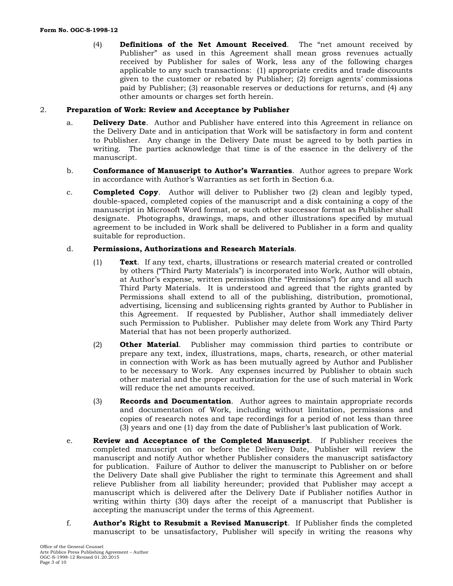(4) **Definitions of the Net Amount Received**. The "net amount received by Publisher" as used in this Agreement shall mean gross revenues actually received by Publisher for sales of Work, less any of the following charges applicable to any such transactions: (1) appropriate credits and trade discounts given to the customer or rebated by Publisher; (2) foreign agents' commissions paid by Publisher; (3) reasonable reserves or deductions for returns, and (4) any other amounts or charges set forth herein.

#### 2. **Preparation of Work: Review and Acceptance by Publisher**

- a. **Delivery Date**. Author and Publisher have entered into this Agreement in reliance on the Delivery Date and in anticipation that Work will be satisfactory in form and content to Publisher. Any change in the Delivery Date must be agreed to by both parties in writing. The parties acknowledge that time is of the essence in the delivery of the manuscript.
- b. **Conformance of Manuscript to Author's Warranties**. Author agrees to prepare Work in accordance with Author's Warranties as set forth in Section 6.a.
- c. **Completed Copy**. Author will deliver to Publisher two (2) clean and legibly typed, double-spaced, completed copies of the manuscript and a disk containing a copy of the manuscript in Microsoft Word format, or such other successor format as Publisher shall designate. Photographs, drawings, maps, and other illustrations specified by mutual agreement to be included in Work shall be delivered to Publisher in a form and quality suitable for reproduction.

#### d. **Permissions, Authorizations and Research Materials**.

- (1) **Text**. If any text, charts, illustrations or research material created or controlled by others ("Third Party Materials") is incorporated into Work, Author will obtain, at Author's expense, written permission (the "Permissions") for any and all such Third Party Materials. It is understood and agreed that the rights granted by Permissions shall extend to all of the publishing, distribution, promotional, advertising, licensing and sublicensing rights granted by Author to Publisher in this Agreement. If requested by Publisher, Author shall immediately deliver such Permission to Publisher. Publisher may delete from Work any Third Party Material that has not been properly authorized.
- (2) **Other Material**. Publisher may commission third parties to contribute or prepare any text, index, illustrations, maps, charts, research, or other material in connection with Work as has been mutually agreed by Author and Publisher to be necessary to Work. Any expenses incurred by Publisher to obtain such other material and the proper authorization for the use of such material in Work will reduce the net amounts received.
- (3) **Records and Documentation**. Author agrees to maintain appropriate records and documentation of Work, including without limitation, permissions and copies of research notes and tape recordings for a period of not less than three (3) years and one (1) day from the date of Publisher's last publication of Work.
- e. **Review and Acceptance of the Completed Manuscript**. If Publisher receives the completed manuscript on or before the Delivery Date, Publisher will review the manuscript and notify Author whether Publisher considers the manuscript satisfactory for publication. Failure of Author to deliver the manuscript to Publisher on or before the Delivery Date shall give Publisher the right to terminate this Agreement and shall relieve Publisher from all liability hereunder; provided that Publisher may accept a manuscript which is delivered after the Delivery Date if Publisher notifies Author in writing within thirty (30) days after the receipt of a manuscript that Publisher is accepting the manuscript under the terms of this Agreement.
- f. **Author's Right to Resubmit a Revised Manuscript**. If Publisher finds the completed manuscript to be unsatisfactory, Publisher will specify in writing the reasons why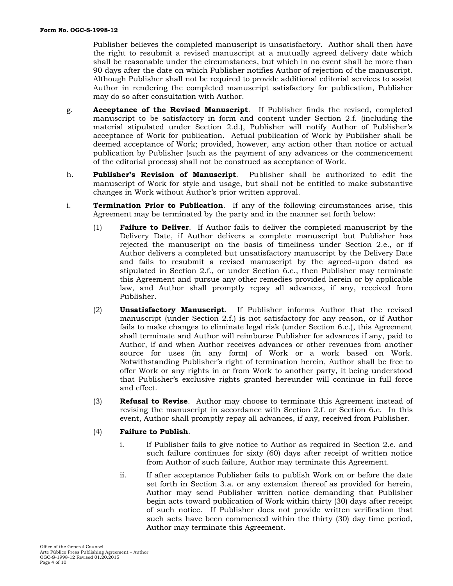Publisher believes the completed manuscript is unsatisfactory. Author shall then have the right to resubmit a revised manuscript at a mutually agreed delivery date which shall be reasonable under the circumstances, but which in no event shall be more than 90 days after the date on which Publisher notifies Author of rejection of the manuscript. Although Publisher shall not be required to provide additional editorial services to assist Author in rendering the completed manuscript satisfactory for publication, Publisher may do so after consultation with Author.

- g. **Acceptance of the Revised Manuscript**. If Publisher finds the revised, completed manuscript to be satisfactory in form and content under Section 2.f. (including the material stipulated under Section 2.d.), Publisher will notify Author of Publisher's acceptance of Work for publication. Actual publication of Work by Publisher shall be deemed acceptance of Work; provided, however, any action other than notice or actual publication by Publisher (such as the payment of any advances or the commencement of the editorial process) shall not be construed as acceptance of Work.
- h. **Publisher's Revision of Manuscript**. Publisher shall be authorized to edit the manuscript of Work for style and usage, but shall not be entitled to make substantive changes in Work without Author's prior written approval.
- i. **Termination Prior to Publication**. If any of the following circumstances arise, this Agreement may be terminated by the party and in the manner set forth below:
	- (1) **Failure to Deliver**. If Author fails to deliver the completed manuscript by the Delivery Date, if Author delivers a complete manuscript but Publisher has rejected the manuscript on the basis of timeliness under Section 2.e., or if Author delivers a completed but unsatisfactory manuscript by the Delivery Date and fails to resubmit a revised manuscript by the agreed-upon dated as stipulated in Section 2.f., or under Section 6.c., then Publisher may terminate this Agreement and pursue any other remedies provided herein or by applicable law, and Author shall promptly repay all advances, if any, received from Publisher.
	- (2) **Unsatisfactory Manuscript**. If Publisher informs Author that the revised manuscript (under Section 2.f.) is not satisfactory for any reason, or if Author fails to make changes to eliminate legal risk (under Section 6.c.), this Agreement shall terminate and Author will reimburse Publisher for advances if any, paid to Author, if and when Author receives advances or other revenues from another source for uses (in any form) of Work or a work based on Work. Notwithstanding Publisher's right of termination herein, Author shall be free to offer Work or any rights in or from Work to another party, it being understood that Publisher's exclusive rights granted hereunder will continue in full force and effect.
	- (3) **Refusal to Revise**. Author may choose to terminate this Agreement instead of revising the manuscript in accordance with Section 2.f. or Section 6.c. In this event, Author shall promptly repay all advances, if any, received from Publisher.

### (4) **Failure to Publish**.

- i. If Publisher fails to give notice to Author as required in Section 2.e. and such failure continues for sixty (60) days after receipt of written notice from Author of such failure, Author may terminate this Agreement.
- ii. If after acceptance Publisher fails to publish Work on or before the date set forth in Section 3.a. or any extension thereof as provided for herein, Author may send Publisher written notice demanding that Publisher begin acts toward publication of Work within thirty (30) days after receipt of such notice. If Publisher does not provide written verification that such acts have been commenced within the thirty (30) day time period, Author may terminate this Agreement.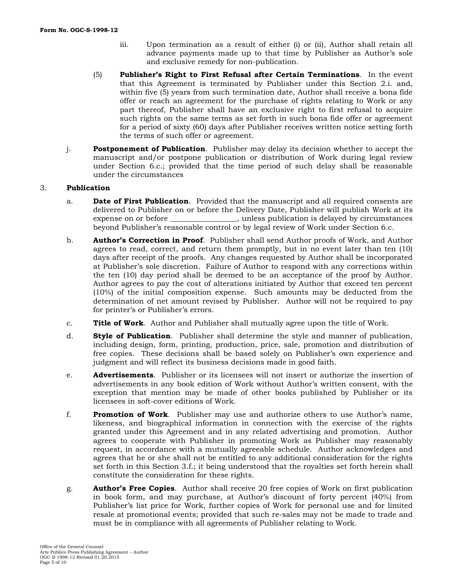- iii. Upon termination as a result of either (i) or (ii), Author shall retain all advance payments made up to that time by Publisher as Author's sole and exclusive remedy for non-publication.
- (5) **Publisher's Right to First Refusal after Certain Terminations**. In the event that this Agreement is terminated by Publisher under this Section 2.i. and, within five (5) years from such termination date, Author shall receive a bona fide offer or reach an agreement for the purchase of rights relating to Work or any part thereof, Publisher shall have an exclusive right to first refusal to acquire such rights on the same terms as set forth in such bona fide offer or agreement for a period of sixty (60) days after Publisher receives written notice setting forth the terms of such offer or agreement.
- j. **Postponement of Publication**. Publisher may delay its decision whether to accept the manuscript and/or postpone publication or distribution of Work during legal review under Section 6.c.; provided that the time period of such delay shall be reasonable under the circumstances

## 3. **Publication**

- a. **Date of First Publication**. Provided that the manuscript and all required consents are delivered to Publisher on or before the Delivery Date, Publisher will publish Work at its expense on or before \_\_\_\_\_\_\_\_\_\_\_\_\_\_\_\_\_\_, unless publication is delayed by circumstances beyond Publisher's reasonable control or by legal review of Work under Section 6.c.
- b. **Author's Correction in Proof**. Publisher shall send Author proofs of Work, and Author agrees to read, correct, and return them promptly, but in no event later than ten (10) days after receipt of the proofs. Any changes requested by Author shall be incorporated at Publisher's sole discretion. Failure of Author to respond with any corrections within the ten (10) day period shall be deemed to be an acceptance of the proof by Author. Author agrees to pay the cost of alterations initiated by Author that exceed ten percent (10%) of the initial composition expense. Such amounts may be deducted from the determination of net amount revised by Publisher. Author will not be required to pay for printer's or Publisher's errors.
- c. **Title of Work**. Author and Publisher shall mutually agree upon the title of Work.
- d. **Style of Publication**. Publisher shall determine the style and manner of publication, including design, form, printing, production, price, sale, promotion and distribution of free copies. These decisions shall be based solely on Publisher's own experience and judgment and will reflect its business decisions made in good faith.
- e. **Advertisements**. Publisher or its licensees will not insert or authorize the insertion of advertisements in any book edition of Work without Author's written consent, with the exception that mention may be made of other books published by Publisher or its licensees in soft-cover editions of Work.
- f. **Promotion of Work**. Publisher may use and authorize others to use Author's name, likeness, and biographical information in connection with the exercise of the rights granted under this Agreement and in any related advertising and promotion. Author agrees to cooperate with Publisher in promoting Work as Publisher may reasonably request, in accordance with a mutually agreeable schedule. Author acknowledges and agrees that he or she shall not be entitled to any additional consideration for the rights set forth in this Section 3.f.; it being understood that the royalties set forth herein shall constitute the consideration for these rights.
- g. **Author's Free Copies**. Author shall receive 20 free copies of Work on first publication in book form, and may purchase, at Author's discount of forty percent (40%) from Publisher's list price for Work, further copies of Work for personal use and for limited resale at promotional events; provided that such re-sales may not be made to trade and must be in compliance with all agreements of Publisher relating to Work.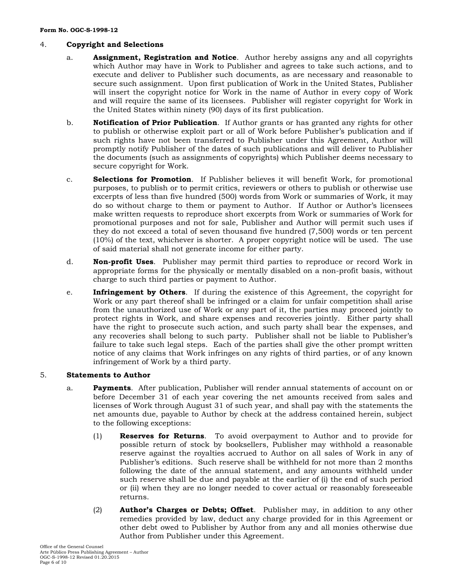## 4. **Copyright and Selections**

- a. **Assignment, Registration and Notice**. Author hereby assigns any and all copyrights which Author may have in Work to Publisher and agrees to take such actions, and to execute and deliver to Publisher such documents, as are necessary and reasonable to secure such assignment. Upon first publication of Work in the United States, Publisher will insert the copyright notice for Work in the name of Author in every copy of Work and will require the same of its licensees. Publisher will register copyright for Work in the United States within ninety (90) days of its first publication.
- b. **Notification of Prior Publication**. If Author grants or has granted any rights for other to publish or otherwise exploit part or all of Work before Publisher's publication and if such rights have not been transferred to Publisher under this Agreement, Author will promptly notify Publisher of the dates of such publications and will deliver to Publisher the documents (such as assignments of copyrights) which Publisher deems necessary to secure copyright for Work.
- c. **Selections for Promotion**. If Publisher believes it will benefit Work, for promotional purposes, to publish or to permit critics, reviewers or others to publish or otherwise use excerpts of less than five hundred (500) words from Work or summaries of Work, it may do so without charge to them or payment to Author. If Author or Author's licensees make written requests to reproduce short excerpts from Work or summaries of Work for promotional purposes and not for sale, Publisher and Author will permit such uses if they do not exceed a total of seven thousand five hundred (7,500) words or ten percent (10%) of the text, whichever is shorter. A proper copyright notice will be used. The use of said material shall not generate income for either party.
- d. **Non-profit Uses**. Publisher may permit third parties to reproduce or record Work in appropriate forms for the physically or mentally disabled on a non-profit basis, without charge to such third parties or payment to Author.
- e. **Infringement by Others**. If during the existence of this Agreement, the copyright for Work or any part thereof shall be infringed or a claim for unfair competition shall arise from the unauthorized use of Work or any part of it, the parties may proceed jointly to protect rights in Work, and share expenses and recoveries jointly. Either party shall have the right to prosecute such action, and such party shall bear the expenses, and any recoveries shall belong to such party. Publisher shall not be liable to Publisher's failure to take such legal steps. Each of the parties shall give the other prompt written notice of any claims that Work infringes on any rights of third parties, or of any known infringement of Work by a third party.

### 5. **Statements to Author**

- a. **Payments**. After publication, Publisher will render annual statements of account on or before December 31 of each year covering the net amounts received from sales and licenses of Work through August 31 of such year, and shall pay with the statements the net amounts due, payable to Author by check at the address contained herein, subject to the following exceptions:
	- (1) **Reserves for Returns**. To avoid overpayment to Author and to provide for possible return of stock by booksellers, Publisher may withhold a reasonable reserve against the royalties accrued to Author on all sales of Work in any of Publisher's editions. Such reserve shall be withheld for not more than 2 months following the date of the annual statement, and any amounts withheld under such reserve shall be due and payable at the earlier of (i) the end of such period or (ii) when they are no longer needed to cover actual or reasonably foreseeable returns.
	- (2) **Author's Charges or Debts; Offset**. Publisher may, in addition to any other remedies provided by law, deduct any charge provided for in this Agreement or other debt owed to Publisher by Author from any and all monies otherwise due Author from Publisher under this Agreement.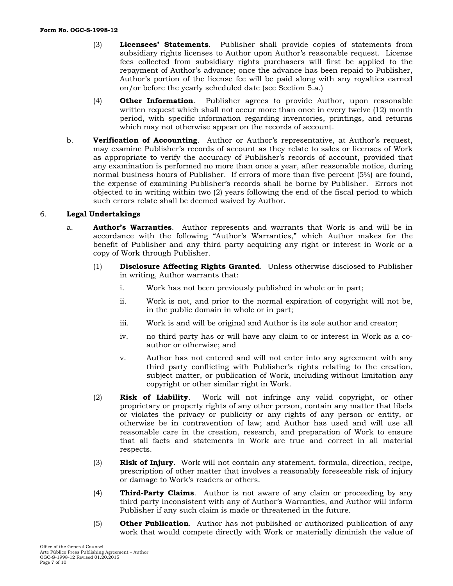- (3) **Licensees' Statements**. Publisher shall provide copies of statements from subsidiary rights licenses to Author upon Author's reasonable request. License fees collected from subsidiary rights purchasers will first be applied to the repayment of Author's advance; once the advance has been repaid to Publisher, Author's portion of the license fee will be paid along with any royalties earned on/or before the yearly scheduled date (see Section 5.a.)
- (4) **Other Information**. Publisher agrees to provide Author, upon reasonable written request which shall not occur more than once in every twelve (12) month period, with specific information regarding inventories, printings, and returns which may not otherwise appear on the records of account.
- b. **Verification of Accounting**. Author or Author's representative, at Author's request, may examine Publisher's records of account as they relate to sales or licenses of Work as appropriate to verify the accuracy of Publisher's records of account, provided that any examination is performed no more than once a year, after reasonable notice, during normal business hours of Publisher. If errors of more than five percent (5%) are found, the expense of examining Publisher's records shall be borne by Publisher. Errors not objected to in writing within two (2) years following the end of the fiscal period to which such errors relate shall be deemed waived by Author.

### 6. **Legal Undertakings**

- a. **Author's Warranties**. Author represents and warrants that Work is and will be in accordance with the following "Author's Warranties," which Author makes for the benefit of Publisher and any third party acquiring any right or interest in Work or a copy of Work through Publisher.
	- (1) **Disclosure Affecting Rights Granted**. Unless otherwise disclosed to Publisher in writing, Author warrants that:
		- i. Work has not been previously published in whole or in part;
		- ii. Work is not, and prior to the normal expiration of copyright will not be, in the public domain in whole or in part;
		- iii. Work is and will be original and Author is its sole author and creator;
		- iv. no third party has or will have any claim to or interest in Work as a coauthor or otherwise; and
		- v. Author has not entered and will not enter into any agreement with any third party conflicting with Publisher's rights relating to the creation, subject matter, or publication of Work, including without limitation any copyright or other similar right in Work.
	- (2) **Risk of Liability**. Work will not infringe any valid copyright, or other proprietary or property rights of any other person, contain any matter that libels or violates the privacy or publicity or any rights of any person or entity, or otherwise be in contravention of law; and Author has used and will use all reasonable care in the creation, research, and preparation of Work to ensure that all facts and statements in Work are true and correct in all material respects.
	- (3) **Risk of Injury**. Work will not contain any statement, formula, direction, recipe, prescription of other matter that involves a reasonably foreseeable risk of injury or damage to Work's readers or others.
	- (4) **Third-Party Claims**. Author is not aware of any claim or proceeding by any third party inconsistent with any of Author's Warranties, and Author will inform Publisher if any such claim is made or threatened in the future.
	- (5) **Other Publication**. Author has not published or authorized publication of any work that would compete directly with Work or materially diminish the value of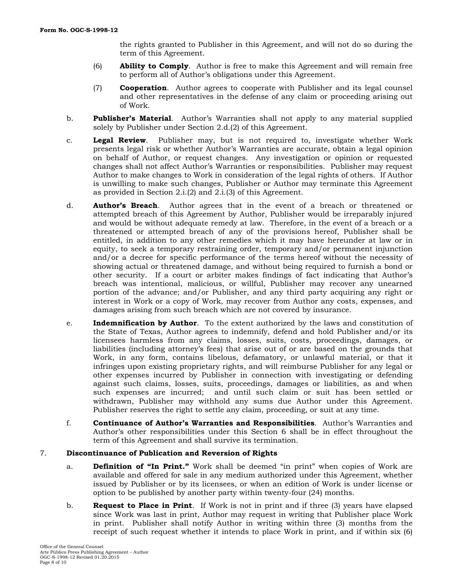the rights granted to Publisher in this Agreement, and will not do so during the term of this Agreement.

- (6) **Ability to Comply**. Author is free to make this Agreement and will remain free to perform all of Author's obligations under this Agreement.
- (7) **Cooperation**. Author agrees to cooperate with Publisher and its legal counsel and other representatives in the defense of any claim or proceeding arising out of Work.
- b. **Publisher's Material**. Author's Warranties shall not apply to any material supplied solely by Publisher under Section 2.d.(2) of this Agreement.
- c. **Legal Review**. Publisher may, but is not required to, investigate whether Work presents legal risk or whether Author's Warranties are accurate, obtain a legal opinion on behalf of Author, or request changes. Any investigation or opinion or requested changes shall not affect Author's Warranties or responsibilities. Publisher may request Author to make changes to Work in consideration of the legal rights of others. If Author is unwilling to make such changes, Publisher or Author may terminate this Agreement as provided in Section 2.i.(2) and 2.i.(3) of this Agreement.
- d. **Author's Breach**. Author agrees that in the event of a breach or threatened or attempted breach of this Agreement by Author, Publisher would be irreparably injured and would be without adequate remedy at law. Therefore, in the event of a breach or a threatened or attempted breach of any of the provisions hereof, Publisher shall be entitled, in addition to any other remedies which it may have hereunder at law or in equity, to seek a temporary restraining order, temporary and/or permanent injunction and/or a decree for specific performance of the terms hereof without the necessity of showing actual or threatened damage, and without being required to furnish a bond or other security. If a court or arbiter makes findings of fact indicating that Author's breach was intentional, malicious, or willful, Publisher may recover any unearned portion of the advance; and/or Publisher, and any third party acquiring any right or interest in Work or a copy of Work, may recover from Author any costs, expenses, and damages arising from such breach which are not covered by insurance.
- e. **Indemnification by Author**. To the extent authorized by the laws and constitution of the State of Texas, Author agrees to indemnify, defend and hold Publisher and/or its licensees harmless from any claims, losses, suits, costs, proceedings, damages, or liabilities (including attorney's fees) that arise out of or are based on the grounds that Work, in any form, contains libelous, defamatory, or unlawful material, or that it infringes upon existing proprietary rights, and will reimburse Publisher for any legal or other expenses incurred by Publisher in connection with investigating or defending against such claims, losses, suits, proceedings, damages or liabilities, as and when such expenses are incurred; and until such claim or suit has been settled or withdrawn, Publisher may withhold any sums due Author under this Agreement. Publisher reserves the right to settle any claim, proceeding, or suit at any time.
- f. **Continuance of Author's Warranties and Responsibilities**. Author's Warranties and Author's other responsibilities under this Section 6 shall be in effect throughout the term of this Agreement and shall survive its termination.

### 7. **Discontinuance of Publication and Reversion of Rights**

- a. **Definition of "In Print."** Work shall be deemed "in print" when copies of Work are available and offered for sale in any medium authorized under this Agreement, whether issued by Publisher or by its licensees, or when an edition of Work is under license or option to be published by another party within twenty-four (24) months.
- b. **Request to Place in Print**. If Work is not in print and if three (3) years have elapsed since Work was last in print, Author may request in writing that Publisher place Work in print. Publisher shall notify Author in writing within three (3) months from the receipt of such request whether it intends to place Work in print, and if within six (6)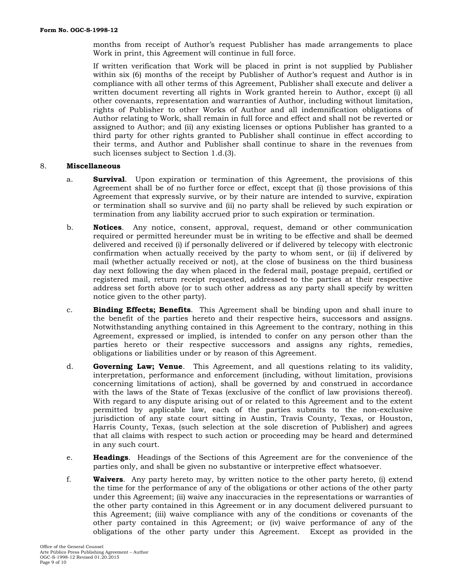months from receipt of Author's request Publisher has made arrangements to place Work in print, this Agreement will continue in full force.

If written verification that Work will be placed in print is not supplied by Publisher within six (6) months of the receipt by Publisher of Author's request and Author is in compliance with all other terms of this Agreement, Publisher shall execute and deliver a written document reverting all rights in Work granted herein to Author, except (i) all other covenants, representation and warranties of Author, including without limitation, rights of Publisher to other Works of Author and all indemnification obligations of Author relating to Work, shall remain in full force and effect and shall not be reverted or assigned to Author; and (ii) any existing licenses or options Publisher has granted to a third party for other rights granted to Publisher shall continue in effect according to their terms, and Author and Publisher shall continue to share in the revenues from such licenses subject to Section 1.d.(3).

### 8. **Miscellaneous**

- a. **Survival**. Upon expiration or termination of this Agreement, the provisions of this Agreement shall be of no further force or effect, except that (i) those provisions of this Agreement that expressly survive, or by their nature are intended to survive, expiration or termination shall so survive and (ii) no party shall be relieved by such expiration or termination from any liability accrued prior to such expiration or termination.
- b. **Notices**. Any notice, consent, approval, request, demand or other communication required or permitted hereunder must be in writing to be effective and shall be deemed delivered and received (i) if personally delivered or if delivered by telecopy with electronic confirmation when actually received by the party to whom sent, or (ii) if delivered by mail (whether actually received or not), at the close of business on the third business day next following the day when placed in the federal mail, postage prepaid, certified or registered mail, return receipt requested, addressed to the parties at their respective address set forth above (or to such other address as any party shall specify by written notice given to the other party).
- c. **Binding Effects; Benefits**. This Agreement shall be binding upon and shall inure to the benefit of the parties hereto and their respective heirs, successors and assigns. Notwithstanding anything contained in this Agreement to the contrary, nothing in this Agreement, expressed or implied, is intended to confer on any person other than the parties hereto or their respective successors and assigns any rights, remedies, obligations or liabilities under or by reason of this Agreement.
- d. **Governing Law; Venue**. This Agreement, and all questions relating to its validity, interpretation, performance and enforcement (including, without limitation, provisions concerning limitations of action), shall be governed by and construed in accordance with the laws of the State of Texas (exclusive of the conflict of law provisions thereof). With regard to any dispute arising out of or related to this Agreement and to the extent permitted by applicable law, each of the parties submits to the non-exclusive jurisdiction of any state court sitting in Austin, Travis County, Texas, or Houston, Harris County, Texas, (such selection at the sole discretion of Publisher) and agrees that all claims with respect to such action or proceeding may be heard and determined in any such court.
- e. **Headings**. Headings of the Sections of this Agreement are for the convenience of the parties only, and shall be given no substantive or interpretive effect whatsoever.
- f. **Waivers**. Any party hereto may, by written notice to the other party hereto, (i) extend the time for the performance of any of the obligations or other actions of the other party under this Agreement; (ii) waive any inaccuracies in the representations or warranties of the other party contained in this Agreement or in any document delivered pursuant to this Agreement; (iii) waive compliance with any of the conditions or covenants of the other party contained in this Agreement; or (iv) waive performance of any of the obligations of the other party under this Agreement. Except as provided in the